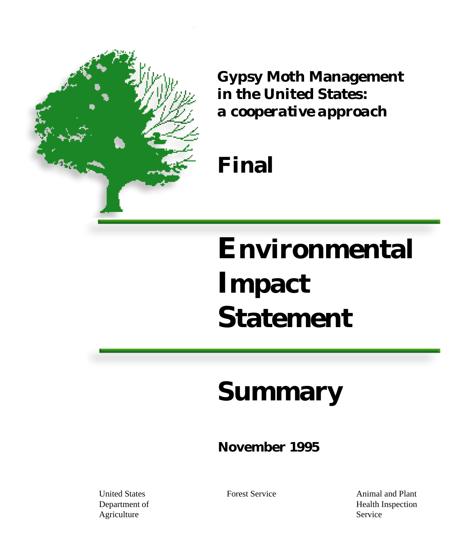

**Gypsy Moth Management in the United States:** *a cooperative approach*

# **Final**

# **Environmental Impact Statement**

# **Summary**

### **November 1995**

United States Department of Agriculture

Forest Service **Animal** and Plant Health Inspection Service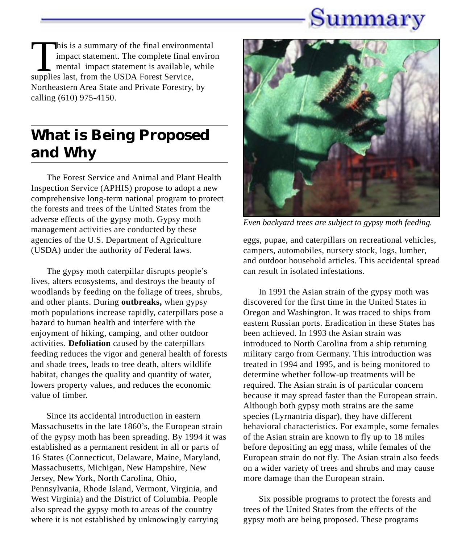## Summary

This is a summary of the final environmental impact statement. The complete final environ mental impact statement is available, while supplies last, from the USDA Forest Service, Northeastern Area State and Private Forestry, by calling (610) 975-4150.

### **What is Being Proposed and Why**

The Forest Service and Animal and Plant Health Inspection Service (APHIS) propose to adopt a new comprehensive long-term national program to protect the forests and trees of the United States from the adverse effects of the gypsy moth. Gypsy moth management activities are conducted by these agencies of the U.S. Department of Agriculture (USDA) under the authority of Federal laws.

The gypsy moth caterpillar disrupts people's lives, alters ecosystems, and destroys the beauty of woodlands by feeding on the foliage of trees, shrubs, and other plants. During **outbreaks,** when gypsy moth populations increase rapidly, caterpillars pose a hazard to human health and interfere with the enjoyment of hiking, camping, and other outdoor activities. **Defoliation** caused by the caterpillars feeding reduces the vigor and general health of forests and shade trees, leads to tree death, alters wildlife habitat, changes the quality and quantity of water, lowers property values, and reduces the economic value of timber.

Since its accidental introduction in eastern Massachusetts in the late 1860's, the European strain of the gypsy moth has been spreading. By 1994 it was established as a permanent resident in all or parts of 16 States (Connecticut, Delaware, Maine, Maryland, Massachusetts, Michigan, New Hampshire, New Jersey, New York, North Carolina, Ohio, Pennsylvania, Rhode Island, Vermont, Virginia, and West Virginia) and the District of Columbia. People also spread the gypsy moth to areas of the country where it is not established by unknowingly carrying



*Even backyard trees are subject to gypsy moth feeding.*

eggs, pupae, and caterpillars on recreational vehicles, campers, automobiles, nursery stock, logs, lumber, and outdoor household articles. This accidental spread can result in isolated infestations.

In 1991 the Asian strain of the gypsy moth was discovered for the first time in the United States in Oregon and Washington. It was traced to ships from eastern Russian ports. Eradication in these States has been achieved. In 1993 the Asian strain was introduced to North Carolina from a ship returning military cargo from Germany. This introduction was treated in 1994 and 1995, and is being monitored to determine whether follow-up treatments will be required. The Asian strain is of particular concern because it may spread faster than the European strain. Although both gypsy moth strains are the same species (Lyrnantria dispar), they have different behavioral characteristics. For example, some females of the Asian strain are known to fly up to 18 miles before depositing an egg mass, while females of the European strain do not fly. The Asian strain also feeds on a wider variety of trees and shrubs and may cause more damage than the European strain.

Six possible programs to protect the forests and trees of the United States from the effects of the gypsy moth are being proposed. These programs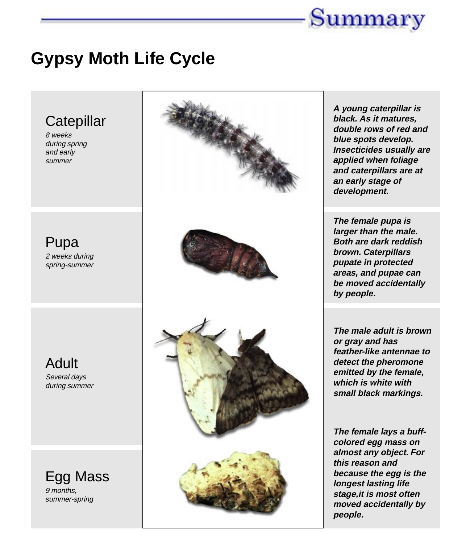

### **Gypsy Moth Life Cycle**

# **Catepillar** 8 weeks during spring and early summer Pupa 2 weeks during spring-summer Adult Several days during summer Egg Mass 9 months, summer-spring

**A young caterpillar is black. As it matures, double rows of red and blue spots develop. Insecticides usually are applied when foliage and caterpillars are at an early stage of development.**

**The female pupa is larger than the male. Both are dark reddish brown. Caterpillars pupate in protected areas, and pupae can be moved accidentally by people.**

**The male adult is brown or gray and has feather-like antennae to detect the pheromone emitted by the female, which is white with small black markings.**

**The female lays a buffcolored egg mass on almost any object. For this reason and because the egg is the longest lasting life stage,it is most often moved accidentally by people.**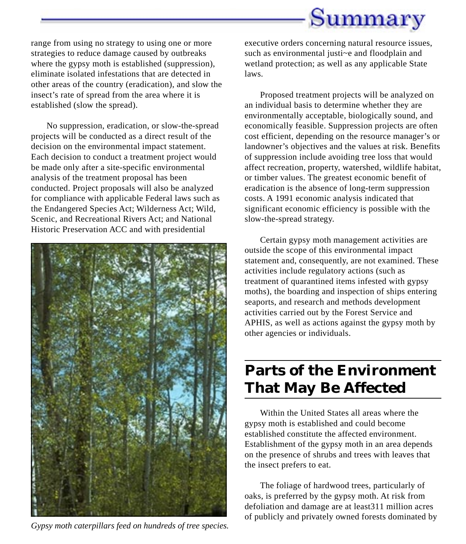

range from using no strategy to using one or more strategies to reduce damage caused by outbreaks where the gypsy moth is established (suppression), eliminate isolated infestations that are detected in other areas of the country (eradication), and slow the insect's rate of spread from the area where it is established (slow the spread).

No suppression, eradication, or slow-the-spread projects will be conducted as a direct result of the decision on the environmental impact statement. Each decision to conduct a treatment project would be made only after a site-specific environmental analysis of the treatment proposal has been conducted. Project proposals will also be analyzed for compliance with applicable Federal laws such as the Endangered Species Act; Wilderness Act; Wild, Scenic, and Recreational Rivers Act; and National Historic Preservation ACC and with presidential



*Gypsy moth caterpillars feed on hundreds of tree species.*

executive orders concerning natural resource issues, such as environmental justi~e and floodplain and wetland protection; as well as any applicable State laws.

Proposed treatment projects will be analyzed on an individual basis to determine whether they are environmentally acceptable, biologically sound, and economically feasible. Suppression projects are often cost efficient, depending on the resource manager's or landowner's objectives and the values at risk. Benefits of suppression include avoiding tree loss that would affect recreation, property, watershed, wildlife habitat, or timber values. The greatest economic benefit of eradication is the absence of long-term suppression costs. A 1991 economic analysis indicated that significant economic efficiency is possible with the slow-the-spread strategy.

Certain gypsy moth management activities are outside the scope of this environmental impact statement and, consequently, are not examined. These activities include regulatory actions (such as treatment of quarantined items infested with gypsy moths), the boarding and inspection of ships entering seaports, and research and methods development activities carried out by the Forest Service and APHIS, as well as actions against the gypsy moth by other agencies or individuals.

### **Parts of the Environment That May Be Affected**

Within the United States all areas where the gypsy moth is established and could become established constitute the affected environment. Establishment of the gypsy moth in an area depends on the presence of shrubs and trees with leaves that the insect prefers to eat.

The foliage of hardwood trees, particularly of oaks, is preferred by the gypsy moth. At risk from defoliation and damage are at least311 million acres of publicly and privately owned forests dominated by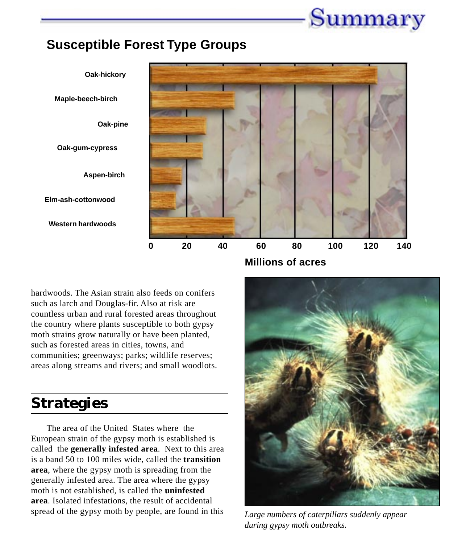

### **Susceptible Forest Type Groups**



hardwoods. The Asian strain also feeds on conifers such as larch and Douglas-fir. Also at risk are countless urban and rural forested areas throughout the country where plants susceptible to both gypsy moth strains grow naturally or have been planted, such as forested areas in cities, towns, and communities; greenways; parks; wildlife reserves; areas along streams and rivers; and small woodlots.

### **Strategies**

The area of the United States where the European strain of the gypsy moth is established is called the **generally infested area**. Next to this area is a band 50 to 100 miles wide, called the **transition area**, where the gypsy moth is spreading from the generally infested area. The area where the gypsy moth is not established, is called the **uninfested area**. Isolated infestations, the result of accidental spread of the gypsy moth by people, are found in this *Large numbers of caterpillars suddenly appear*



*during gypsy moth outbreaks.*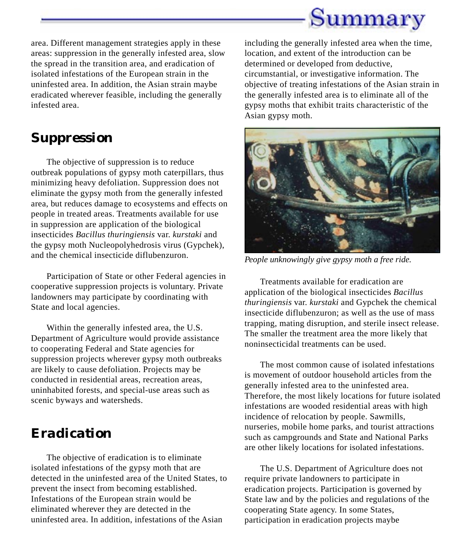

area. Different management strategies apply in these areas: suppression in the generally infested area, slow the spread in the transition area, and eradication of isolated infestations of the European strain in the uninfested area. In addition, the Asian strain maybe eradicated wherever feasible, including the generally infested area.

### *Suppression*

The objective of suppression is to reduce outbreak populations of gypsy moth caterpillars, thus minimizing heavy defoliation. Suppression does not eliminate the gypsy moth from the generally infested area, but reduces damage to ecosystems and effects on people in treated areas. Treatments available for use in suppression are application of the biological insecticides *Bacillus thuringiensis* var. *kurstaki* and the gypsy moth Nucleopolyhedrosis virus (Gypchek), and the chemical insecticide diflubenzuron.

Participation of State or other Federal agencies in cooperative suppression projects is voluntary. Private landowners may participate by coordinating with State and local agencies.

Within the generally infested area, the U.S. Department of Agriculture would provide assistance to cooperating Federal and State agencies for suppression projects wherever gypsy moth outbreaks are likely to cause defoliation. Projects may be conducted in residential areas, recreation areas, uninhabited forests, and special-use areas such as scenic byways and watersheds.

### *Eradication*

The objective of eradication is to eliminate isolated infestations of the gypsy moth that are detected in the uninfested area of the United States, to prevent the insect from becoming established. Infestations of the European strain would be eliminated wherever they are detected in the uninfested area. In addition, infestations of the Asian

including the generally infested area when the time, location, and extent of the introduction can be determined or developed from deductive, circumstantial, or investigative information. The objective of treating infestations of the Asian strain in the generally infested area is to eliminate all of the gypsy moths that exhibit traits characteristic of the Asian gypsy moth.



*People unknowingly give gypsy moth a free ride.*

Treatments available for eradication are application of the biological insecticides *Bacillus thuringiensis* var. *kurstaki* and Gypchek the chemical insecticide diflubenzuron; as well as the use of mass trapping, mating disruption, and sterile insect release. The smaller the treatment area the more likely that noninsecticidal treatments can be used.

The most common cause of isolated infestations is movement of outdoor household articles from the generally infested area to the uninfested area. Therefore, the most likely locations for future isolated infestations are wooded residential areas with high incidence of relocation by people. Sawmills, nurseries, mobile home parks, and tourist attractions such as campgrounds and State and National Parks are other likely locations for isolated infestations.

The U.S. Department of Agriculture does not require private landowners to participate in eradication projects. Participation is governed by State law and by the policies and regulations of the cooperating State agency. In some States, participation in eradication projects maybe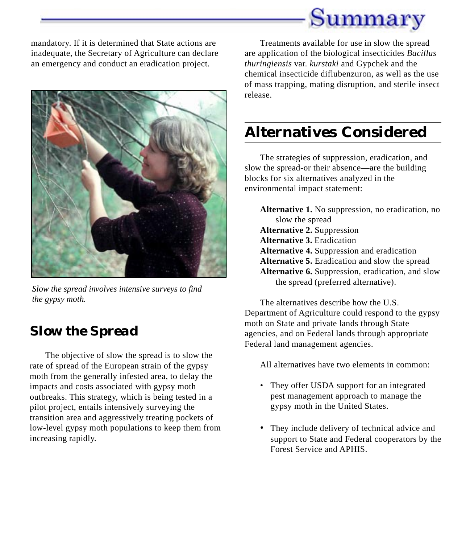

mandatory. If it is determined that State actions are inadequate, the Secretary of Agriculture can declare an emergency and conduct an eradication project.



*Slow the spread involves intensive surveys to find the gypsy moth.*

### *Slow the Spread*

The objective of slow the spread is to slow the rate of spread of the European strain of the gypsy moth from the generally infested area, to delay the impacts and costs associated with gypsy moth outbreaks. This strategy, which is being tested in a pilot project, entails intensively surveying the transition area and aggressively treating pockets of low-level gypsy moth populations to keep them from increasing rapidly.

Treatments available for use in slow the spread are application of the biological insecticides *Bacillus thuringiensis* var. *kurstaki* and Gypchek and the chemical insecticide diflubenzuron, as well as the use of mass trapping, mating disruption, and sterile insect release.

### **Alternatives Considered**

The strategies of suppression, eradication, and slow the spread-or their absence—are the building blocks for six alternatives analyzed in the environmental impact statement:

**Alternative 1.** No suppression, no eradication, no slow the spread **Alternative 2.** Suppression **Alternative 3.** Eradication **Alternative 4.** Suppression and eradication **Alternative 5.** Eradication and slow the spread **Alternative 6.** Suppression, eradication, and slow the spread (preferred alternative).

The alternatives describe how the U.S. Department of Agriculture could respond to the gypsy moth on State and private lands through State agencies, and on Federal lands through appropriate Federal land management agencies.

All alternatives have two elements in common:

- They offer USDA support for an integrated pest management approach to manage the gypsy moth in the United States.
- They include delivery of technical advice and support to State and Federal cooperators by the Forest Service and APHIS.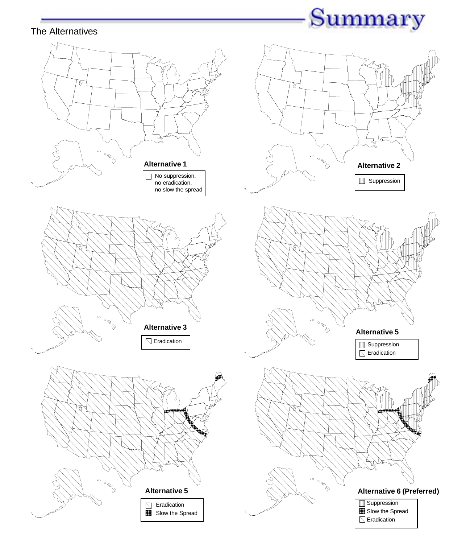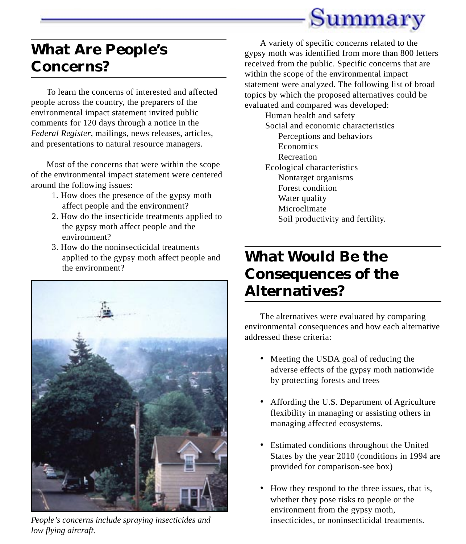

### **What Are People's Concerns?**

To learn the concerns of interested and affected people across the country, the preparers of the environmental impact statement invited public comments for 120 days through a notice in the *Federal Register*, mailings, news releases, articles, and presentations to natural resource managers.

Most of the concerns that were within the scope of the environmental impact statement were centered around the following issues:

- 1. How does the presence of the gypsy moth affect people and the environment?
- 2. How do the insecticide treatments applied to the gypsy moth affect people and the environment?
- 3. How do the noninsecticidal treatments applied to the gypsy moth affect people and the environment?



*People's concerns include spraying insecticides and low flying aircraft.*

A variety of specific concerns related to the gypsy moth was identified from more than 800 letters received from the public. Specific concerns that are within the scope of the environmental impact statement were analyzed. The following list of broad topics by which the proposed alternatives could be evaluated and compared was developed:

> Human health and safety Social and economic characteristics Perceptions and behaviors Economics Recreation Ecological characteristics Nontarget organisms Forest condition Water quality Microclimate Soil productivity and fertility.

### **What Would Be the Consequences of the Alternatives?**

The alternatives were evaluated by comparing environmental consequences and how each alternative addressed these criteria:

- Meeting the USDA goal of reducing the adverse effects of the gypsy moth nationwide by protecting forests and trees
- Affording the U.S. Department of Agriculture flexibility in managing or assisting others in managing affected ecosystems.
- Estimated conditions throughout the United States by the year 2010 (conditions in 1994 are provided for comparison-see box)
- How they respond to the three issues, that is, whether they pose risks to people or the environment from the gypsy moth, insecticides, or noninsecticidal treatments.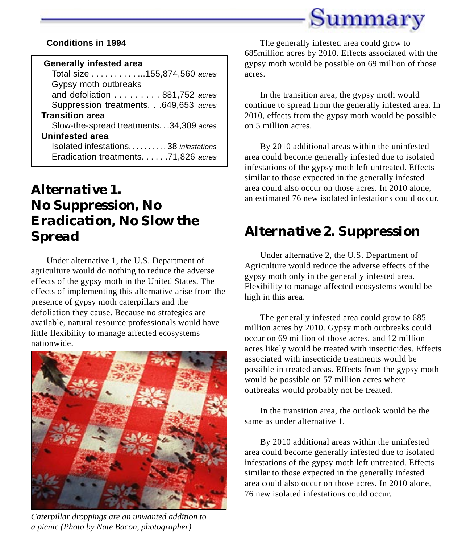

#### **Conditions in 1994**

#### **Generally infested area**

Total size . . . . . . . . . . . . . 155,874,560 acres Gypsy moth outbreaks and defoliation . . . . . . . . . 881,752 acres Suppression treatments. . .649,653 acres **Transition area** Slow-the-spread treatments. . .34,309 acres **Uninfested area** Isolated infestations. . . . . . . . . . 38 infestations Eradication treatments. . . . . .71,826 acres

### *Alternative 1. No Suppression, No Eradication, No Slow the Spread*

Under alternative 1, the U.S. Department of agriculture would do nothing to reduce the adverse effects of the gypsy moth in the United States. The effects of implementing this alternative arise from the presence of gypsy moth caterpillars and the defoliation they cause. Because no strategies are available, natural resource professionals would have little flexibility to manage affected ecosystems nationwide.



*Caterpillar droppings are an unwanted addition to a picnic (Photo by Nate Bacon, photographer)*

The generally infested area could grow to 685million acres by 2010. Effects associated with the gypsy moth would be possible on 69 million of those acres.

In the transition area, the gypsy moth would continue to spread from the generally infested area. In 2010, effects from the gypsy moth would be possible on 5 million acres.

By 2010 additional areas within the uninfested area could become generally infested due to isolated infestations of the gypsy moth left untreated. Effects similar to those expected in the generally infested area could also occur on those acres. In 2010 alone, an estimated 76 new isolated infestations could occur.

### *Alternative 2. Suppression*

Under alternative 2, the U.S. Department of Agriculture would reduce the adverse effects of the gypsy moth only in the generally infested area. Flexibility to manage affected ecosystems would be high in this area.

The generally infested area could grow to 685 million acres by 2010. Gypsy moth outbreaks could occur on 69 million of those acres, and 12 million acres likely would be treated with insecticides. Effects associated with insecticide treatments would be possible in treated areas. Effects from the gypsy moth would be possible on 57 million acres where outbreaks would probably not be treated.

In the transition area, the outlook would be the same as under alternative 1.

By 2010 additional areas within the uninfested area could become generally infested due to isolated infestations of the gypsy moth left untreated. Effects similar to those expected in the generally infested area could also occur on those acres. In 2010 alone, 76 new isolated infestations could occur.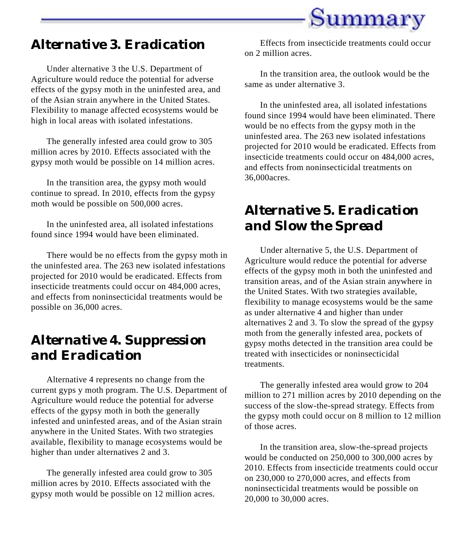

### *Alternative 3. Eradication*

Under alternative 3 the U.S. Department of Agriculture would reduce the potential for adverse effects of the gypsy moth in the uninfested area, and of the Asian strain anywhere in the United States. Flexibility to manage affected ecosystems would be high in local areas with isolated infestations.

The generally infested area could grow to 305 million acres by 2010. Effects associated with the gypsy moth would be possible on 14 million acres.

In the transition area, the gypsy moth would continue to spread. In 2010, effects from the gypsy moth would be possible on 500,000 acres.

In the uninfested area, all isolated infestations found since 1994 would have been eliminated.

There would be no effects from the gypsy moth in the uninfested area. The 263 new isolated infestations projected for 2010 would be eradicated. Effects from insecticide treatments could occur on 484,000 acres, and effects from noninsecticidal treatments would be possible on 36,000 acres.

### *Alternative 4. Suppression and Eradication*

Alternative 4 represents no change from the current gyps y moth program. The U.S. Department of Agriculture would reduce the potential for adverse effects of the gypsy moth in both the generally infested and uninfested areas, and of the Asian strain anywhere in the United States. With two strategies available, flexibility to manage ecosystems would be higher than under alternatives 2 and 3.

The generally infested area could grow to 305 million acres by 2010. Effects associated with the gypsy moth would be possible on 12 million acres.

Effects from insecticide treatments could occur on 2 million acres.

In the transition area, the outlook would be the same as under alternative 3.

In the uninfested area, all isolated infestations found since 1994 would have been eliminated. There would be no effects from the gypsy moth in the uninfested area. The 263 new isolated infestations projected for 2010 would be eradicated. Effects from insecticide treatments could occur on 484,000 acres, and effects from noninsecticidal treatments on 36,000acres.

### *Alternative 5. Eradication and Slow the Spread*

Under alternative 5, the U.S. Department of Agriculture would reduce the potential for adverse effects of the gypsy moth in both the uninfested and transition areas, and of the Asian strain anywhere in the United States. With two strategies available, flexibility to manage ecosystems would be the same as under alternative 4 and higher than under alternatives 2 and 3. To slow the spread of the gypsy moth from the generally infested area, pockets of gypsy moths detected in the transition area could be treated with insecticides or noninsecticidal treatments.

The generally infested area would grow to 204 million to 271 million acres by 2010 depending on the success of the slow-the-spread strategy. Effects from the gypsy moth could occur on 8 million to 12 million of those acres.

In the transition area, slow-the-spread projects would be conducted on 250,000 to 300,000 acres by 2010. Effects from insecticide treatments could occur on 230,000 to 270,000 acres, and effects from noninsecticidal treatments would be possible on 20,000 to 30,000 acres.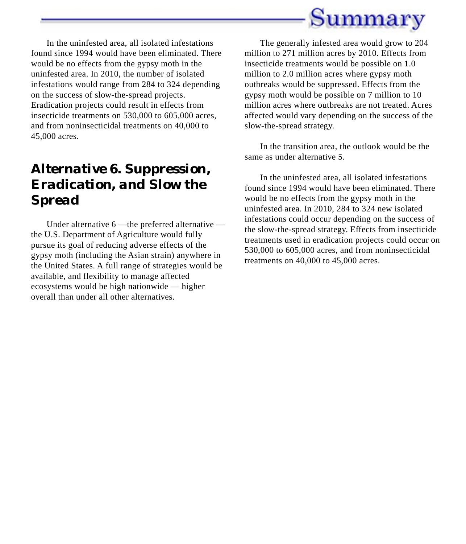

In the uninfested area, all isolated infestations found since 1994 would have been eliminated. There would be no effects from the gypsy moth in the uninfested area. In 2010, the number of isolated infestations would range from 284 to 324 depending on the success of slow-the-spread projects. Eradication projects could result in effects from insecticide treatments on 530,000 to 605,000 acres, and from noninsecticidal treatments on 40,000 to 45,000 acres.

### *Alternative 6. Suppression, Eradication, and Slow the Spread*

Under alternative 6 —the preferred alternative the U.S. Department of Agriculture would fully pursue its goal of reducing adverse effects of the gypsy moth (including the Asian strain) anywhere in the United States. A full range of strategies would be available, and flexibility to manage affected ecosystems would be high nationwide — higher overall than under all other alternatives.

The generally infested area would grow to 204 million to 271 million acres by 2010. Effects from insecticide treatments would be possible on 1.0 million to 2.0 million acres where gypsy moth outbreaks would be suppressed. Effects from the gypsy moth would be possible on 7 million to 10 million acres where outbreaks are not treated. Acres affected would vary depending on the success of the slow-the-spread strategy.

In the transition area, the outlook would be the same as under alternative 5.

In the uninfested area, all isolated infestations found since 1994 would have been eliminated. There would be no effects from the gypsy moth in the uninfested area. In 2010, 284 to 324 new isolated infestations could occur depending on the success of the slow-the-spread strategy. Effects from insecticide treatments used in eradication projects could occur on 530,000 to 605,000 acres, and from noninsecticidal treatments on 40,000 to 45,000 acres.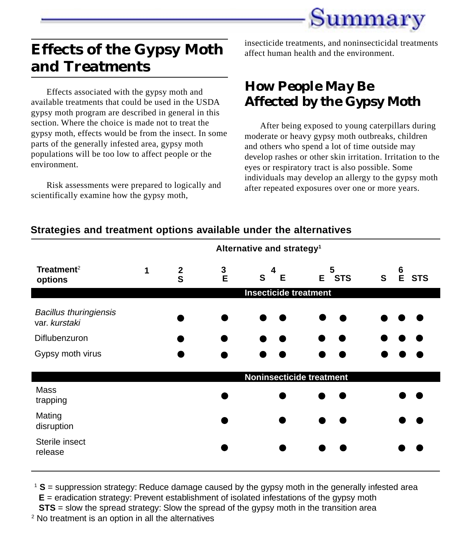

### **Effects of the Gypsy Moth and Treatments**

Effects associated with the gypsy moth and available treatments that could be used in the USDA gypsy moth program are described in general in this section. Where the choice is made not to treat the gypsy moth, effects would be from the insect. In some parts of the generally infested area, gypsy moth populations will be too low to affect people or the environment.

Risk assessments were prepared to logically and scientifically examine how the gypsy moth,

insecticide treatments, and noninsecticidal treatments affect human health and the environment.

### *How People May Be Affected by the Gypsy Moth*

After being exposed to young caterpillars during moderate or heavy gypsy moth outbreaks, children and others who spend a lot of time outside may develop rashes or other skin irritation. Irritation to the eyes or respiratory tract is also possible. Some individuals may develop an allergy to the gypsy moth after repeated exposures over one or more years.

|                                                | Alternative and strategy <sup>1</sup> |               |             |             |            |                                      |
|------------------------------------------------|---------------------------------------|---------------|-------------|-------------|------------|--------------------------------------|
| Treatment <sup>2</sup><br>options              | $\mathbf 1$                           | $\frac{2}{S}$ | $rac{3}{E}$ | 4<br>S<br>E | 5<br>E STS | 6<br>$\mathbf{s}$<br>E<br><b>STS</b> |
|                                                | <b>Insecticide treatment</b>          |               |             |             |            |                                      |
| <b>Bacillus thuringiensis</b><br>var. kurstaki |                                       |               |             |             |            |                                      |
| Diflubenzuron                                  |                                       |               |             |             |            |                                      |
| Gypsy moth virus                               |                                       |               |             |             |            |                                      |
|                                                | Noninsecticide treatment              |               |             |             |            |                                      |
| <b>Mass</b><br>trapping                        |                                       |               |             |             |            |                                      |
| Mating<br>disruption                           |                                       |               |             |             |            |                                      |
| Sterile insect<br>release                      |                                       |               |             |             |            |                                      |

### **Strategies and treatment options available under the alternatives**

<sup>1</sup> S = suppression strategy: Reduce damage caused by the gypsy moth in the generally infested area **E** = eradication strategy: Prevent establishment of isolated infestations of the gypsy moth

**STS** = slow the spread strategy: Slow the spread of the gypsy moth in the transition area <sup>2</sup> No treatment is an option in all the alternatives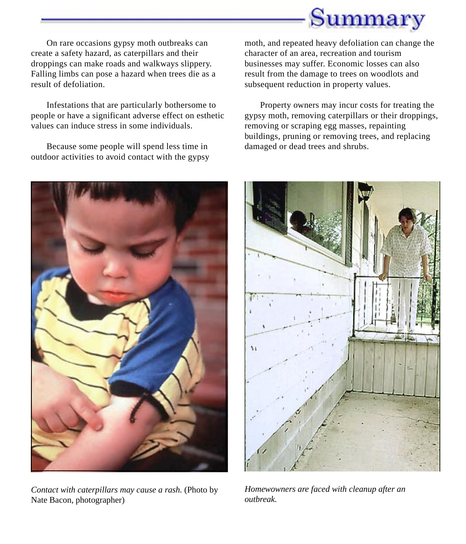

On rare occasions gypsy moth outbreaks can create a safety hazard, as caterpillars and their droppings can make roads and walkways slippery. Falling limbs can pose a hazard when trees die as a result of defoliation.

Infestations that are particularly bothersome to people or have a significant adverse effect on esthetic values can induce stress in some individuals.

Because some people will spend less time in outdoor activities to avoid contact with the gypsy moth, and repeated heavy defoliation can change the character of an area, recreation and tourism businesses may suffer. Economic losses can also result from the damage to trees on woodlots and subsequent reduction in property values.

Property owners may incur costs for treating the gypsy moth, removing caterpillars or their droppings, removing or scraping egg masses, repainting buildings, pruning or removing trees, and replacing damaged or dead trees and shrubs.



*Contact with caterpillars may cause a rash.* (Photo by Nate Bacon, photographer)



*Homewowners are faced with cleanup after an outbreak.*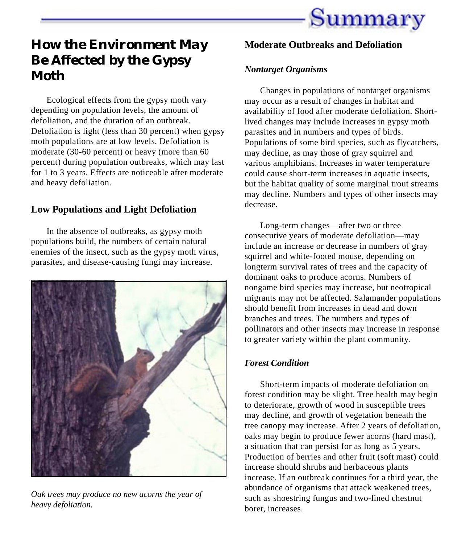

### *How the Environment May Be Affected by the Gypsy Moth*

Ecological effects from the gypsy moth vary depending on population levels, the amount of defoliation, and the duration of an outbreak. Defoliation is light (less than 30 percent) when gypsy moth populations are at low levels. Defoliation is moderate (30-60 percent) or heavy (more than 60 percent) during population outbreaks, which may last for 1 to 3 years. Effects are noticeable after moderate and heavy defoliation.

#### **Low Populations and Light Defoliation**

In the absence of outbreaks, as gypsy moth populations build, the numbers of certain natural enemies of the insect, such as the gypsy moth virus, parasites, and disease-causing fungi may increase.



*Oak trees may produce no new acorns the year of heavy defoliation.*

#### **Moderate Outbreaks and Defoliation**

#### *Nontarget Organisms*

Changes in populations of nontarget organisms may occur as a result of changes in habitat and availability of food after moderate defoliation. Shortlived changes may include increases in gypsy moth parasites and in numbers and types of birds. Populations of some bird species, such as flycatchers, may decline, as may those of gray squirrel and various amphibians. Increases in water temperature could cause short-term increases in aquatic insects, but the habitat quality of some marginal trout streams may decline. Numbers and types of other insects may decrease.

Long-term changes—after two or three consecutive years of moderate defoliation—may include an increase or decrease in numbers of gray squirrel and white-footed mouse, depending on longterm survival rates of trees and the capacity of dominant oaks to produce acorns. Numbers of nongame bird species may increase, but neotropical migrants may not be affected. Salamander populations should benefit from increases in dead and down branches and trees. The numbers and types of pollinators and other insects may increase in response to greater variety within the plant community.

#### *Forest Condition*

Short-term impacts of moderate defoliation on forest condition may be slight. Tree health may begin to deteriorate, growth of wood in susceptible trees may decline, and growth of vegetation beneath the tree canopy may increase. After 2 years of defoliation, oaks may begin to produce fewer acorns (hard mast), a situation that can persist for as long as 5 years. Production of berries and other fruit (soft mast) could increase should shrubs and herbaceous plants increase. If an outbreak continues for a third year, the abundance of organisms that attack weakened trees, such as shoestring fungus and two-lined chestnut borer, increases.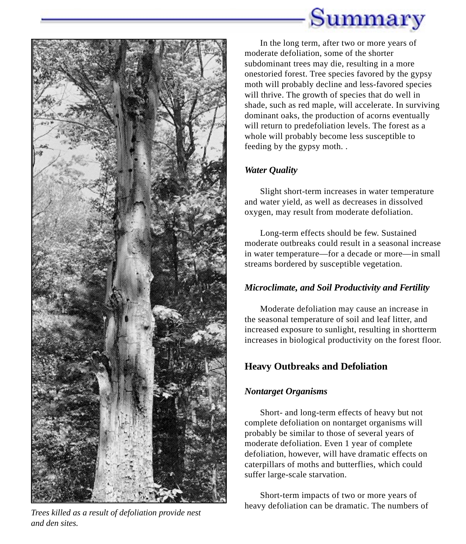



*and den sites.*

In the long term, after two or more years of moderate defoliation, some of the shorter subdominant trees may die, resulting in a more onestoried forest. Tree species favored by the gypsy moth will probably decline and less-favored species will thrive. The growth of species that do well in shade, such as red maple, will accelerate. In surviving dominant oaks, the production of acorns eventually will return to predefoliation levels. The forest as a whole will probably become less susceptible to feeding by the gypsy moth. .

#### *Water Quality*

Slight short-term increases in water temperature and water yield, as well as decreases in dissolved oxygen, may result from moderate defoliation.

Long-term effects should be few. Sustained moderate outbreaks could result in a seasonal increase in water temperature—for a decade or more—in small streams bordered by susceptible vegetation.

#### *Microclimate, and Soil Productivity and Fertility*

Moderate defoliation may cause an increase in the seasonal temperature of soil and leaf litter, and increased exposure to sunlight, resulting in shortterm increases in biological productivity on the forest floor.

### **Heavy Outbreaks and Defoliation**

#### *Nontarget Organisms*

Short- and long-term effects of heavy but not complete defoliation on nontarget organisms will probably be similar to those of several years of moderate defoliation. Even 1 year of complete defoliation, however, will have dramatic effects on caterpillars of moths and butterflies, which could suffer large-scale starvation.

Short-term impacts of two or more years of heavy defoliation can be dramatic. The numbers of *Trees killed as a result of defoliation provide nest*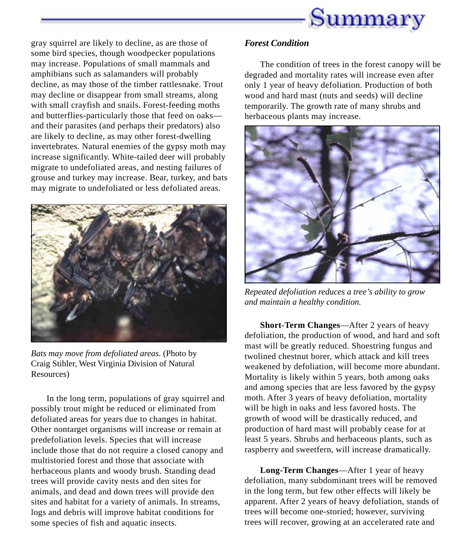

gray squirrel are likely to decline, as are those of some bird species, though woodpecker populations may increase. Populations of small mammals and amphibians such as salamanders will probably decline, as may those of the timber rattlesnake. Trout may decline or disappear from small streams, along with small crayfish and snails. Forest-feeding moths and butterflies-particularly those that feed on oaks and their parasites (and perhaps their predators) also are likely to decline, as may other forest-dwelling invertebrates. Natural enemies of the gypsy moth may increase significantly. White-tailed deer will probably migrate to undefoliated areas, and nesting failures of grouse and turkey may increase. Bear, turkey, and bats may migrate to undefoliated or less defoliated areas.



*Bats may move from defoliated areas.* (Photo by Craig Stihler, West Virginia Division of Natural Resources)

In the long term, populations of gray squirrel and possibly trout might be reduced or eliminated from defoliated areas for years due to changes in habitat. Other nontarget organisms will increase or remain at predefoliation levels. Species that will increase include those that do not require a closed canopy and multistoried forest and those that associate with herbaceous plants and woody brush. Standing dead trees will provide cavity nests and den sites for animals, and dead and down trees will provide den sites and habitat for a variety of animals. In streams, logs and debris will improve habitat conditions for some species of fish and aquatic insects.

#### *Forest Condition*

The condition of trees in the forest canopy will be degraded and mortality rates will increase even after only 1 year of heavy defoliation. Production of both wood and hard mast (nuts and seeds) will decline temporarily. The growth rate of many shrubs and herbaceous plants may increase.



*Repeated defoliation reduces a tree's ability to grow and maintain a healthy condition.*

**Short-Term Changes**—After 2 years of heavy defoliation, the production of wood, and hard and soft mast will be greatly reduced. Shoestring fungus and twolined chestnut borer, which attack and kill trees weakened by defoliation, will become more abundant. Mortality is likely within 5 years, both among oaks and among species that are less favored by the gypsy moth. After 3 years of heavy defoliation, mortality will be high in oaks and less favored hosts. The growth of wood will be drastically reduced, and production of hard mast will probably cease for at least 5 years. Shrubs and herbaceous plants, such as raspberry and sweetfern, will increase dramatically.

**Long-Term Changes**—After 1 year of heavy defoliation, many subdominant trees will be removed in the long term, but few other effects will likely be apparent. After 2 years of heavy defoliation, stands of trees will become one-storied; however, surviving trees will recover, growing at an accelerated rate and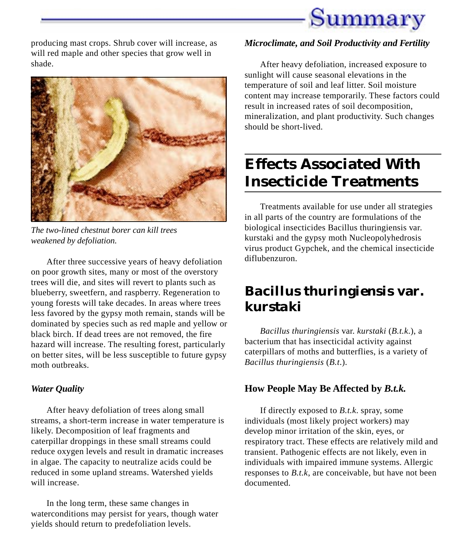

producing mast crops. Shrub cover will increase, as will red maple and other species that grow well in shade.



*The two-lined chestnut borer can kill trees weakened by defoliation.*

After three successive years of heavy defoliation on poor growth sites, many or most of the overstory trees will die, and sites will revert to plants such as blueberry, sweetfern, and raspberry. Regeneration to young forests will take decades. In areas where trees less favored by the gypsy moth remain, stands will be dominated by species such as red maple and yellow or black birch. If dead trees are not removed, the fire hazard will increase. The resulting forest, particularly on better sites, will be less susceptible to future gypsy moth outbreaks.

#### *Water Quality*

After heavy defoliation of trees along small streams, a short-term increase in water temperature is likely. Decomposition of leaf fragments and caterpillar droppings in these small streams could reduce oxygen levels and result in dramatic increases in algae. The capacity to neutralize acids could be reduced in some upland streams. Watershed yields will increase.

In the long term, these same changes in waterconditions may persist for years, though water yields should return to predefoliation levels.

#### *Microclimate, and Soil Productivity and Fertility*

After heavy defoliation, increased exposure to sunlight will cause seasonal elevations in the temperature of soil and leaf litter. Soil moisture content may increase temporarily. These factors could result in increased rates of soil decomposition, mineralization, and plant productivity. Such changes should be short-lived.

### **Effects Associated With Insecticide Treatments**

Treatments available for use under all strategies in all parts of the country are formulations of the biological insecticides Bacillus thuringiensis var. kurstaki and the gypsy moth Nucleopolyhedrosis virus product Gypchek, and the chemical insecticide diflubenzuron.

### *Bacillus thuringiensis* **var.** *kurstaki*

*Bacillus thuringiensis* var. *kurstaki* (*B.t.k*.), a bacterium that has insecticidal activity against caterpillars of moths and butterflies, is a variety of *Bacillus thuringiensis* (*B.t*.).

#### **How People May Be Affected by** *B.t.k.*

If directly exposed to *B.t.k*. spray, some individuals (most likely project workers) may develop minor irritation of the skin, eyes, or respiratory tract. These effects are relatively mild and transient. Pathogenic effects are not likely, even in individuals with impaired immune systems. Allergic responses to *B.t.k*, are conceivable, but have not been documented.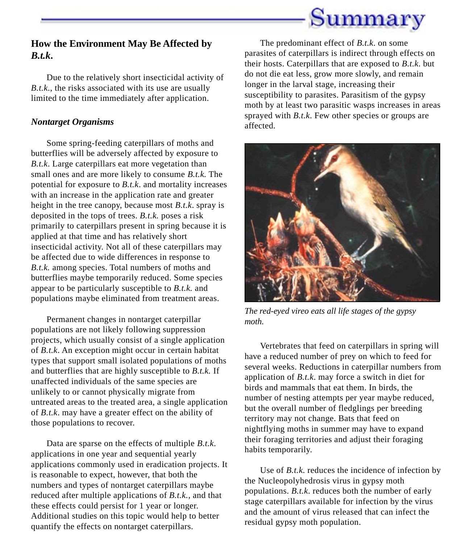

#### **How the Environment May Be Affected by** *B.t.k***.**

Due to the relatively short insecticidal activity of *B.t.k.*, the risks associated with its use are usually limited to the time immediately after application.

#### *Nontarget Organisms*

Some spring-feeding caterpillars of moths and butterflies will be adversely affected by exposure to *B.t.k*. Large caterpillars eat more vegetation than small ones and are more likely to consume *B.t.k.* The potential for exposure to *B.t.k*. and mortality increases with an increase in the application rate and greater height in the tree canopy, because most *B.t.k*. spray is deposited in the tops of trees. *B.t.k.* poses a risk primarily to caterpillars present in spring because it is applied at that time and has relatively short insecticidal activity. Not all of these caterpillars may be affected due to wide differences in response to *B.t.k.* among species. Total numbers of moths and butterflies maybe temporarily reduced. Some species appear to be particularly susceptible to *B.t.k.* and populations maybe eliminated from treatment areas.

Permanent changes in nontarget caterpillar populations are not likely following suppression projects, which usually consist of a single application of *B.t.k*. An exception might occur in certain habitat types that support small isolated populations of moths and butterflies that are highly susceptible to *B.t.k.* If unaffected individuals of the same species are unlikely to or cannot physically migrate from untreated areas to the treated area, a single application of *B.t.k*. may have a greater effect on the ability of those populations to recover.

Data are sparse on the effects of multiple *B.t.k*. applications in one year and sequential yearly applications commonly used in eradication projects. It is reasonable to expect, however, that both the numbers and types of nontarget caterpillars maybe reduced after multiple applications of *B.t.k.,* and that these effects could persist for 1 year or longer. Additional studies on this topic would help to better quantify the effects on nontarget caterpillars.

The predominant effect of *B.t.k*. on some parasites of caterpillars is indirect through effects on their hosts. Caterpillars that are exposed to *B.t.k*. but do not die eat less, grow more slowly, and remain longer in the larval stage, increasing their susceptibility to parasites. Parasitism of the gypsy moth by at least two parasitic wasps increases in areas sprayed with *B.t.k*. Few other species or groups are affected.



*The red-eyed vireo eats all life stages of the gypsy moth.*

Vertebrates that feed on caterpillars in spring will have a reduced number of prey on which to feed for several weeks. Reductions in caterpillar numbers from application of *B.t.k*. may force a switch in diet for birds and mammals that eat them. In birds, the number of nesting attempts per year maybe reduced, but the overall number of fledglings per breeding territory may not change. Bats that feed on nightflying moths in summer may have to expand their foraging territories and adjust their foraging habits temporarily.

Use of *B.t.k*. reduces the incidence of infection by the Nucleopolyhedrosis virus in gypsy moth populations. *B.t.k*. reduces both the number of early stage caterpillars available for infection by the virus and the amount of virus released that can infect the residual gypsy moth population.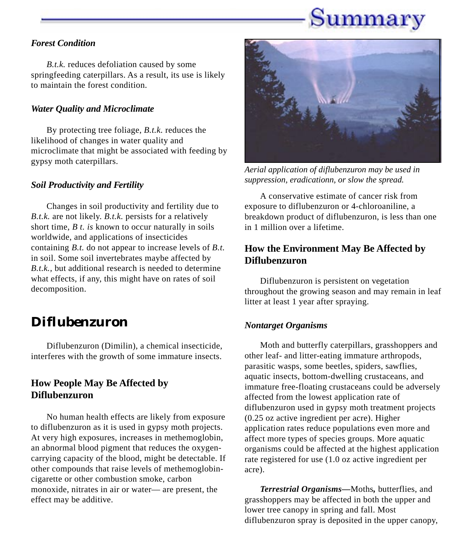## Summary

#### *Forest Condition*

*B.t.k.* reduces defoliation caused by some springfeeding caterpillars. As a result, its use is likely to maintain the forest condition.

#### *Water Quality and Microclimate*

By protecting tree foliage, *B.t.k.* reduces the likelihood of changes in water quality and microclimate that might be associated with feeding by gypsy moth caterpillars.

#### *Soil Productivity and Fertility*

Changes in soil productivity and fertility due to *B.t.k.* are not likely. *B.t.k.* persists for a relatively short time, *B t. is* known to occur naturally in soils worldwide, and applications of insecticides containing *B.t.* do not appear to increase levels of *B.t.* in soil. Some soil invertebrates maybe affected by *B.t.k.,* but additional research is needed to determine what effects, if any, this might have on rates of soil decomposition.

### *Diflubenzuron*

Diflubenzuron (Dimilin), a chemical insecticide, interferes with the growth of some immature insects.

#### **How People May Be Affected by Diflubenzuron**

No human health effects are likely from exposure to diflubenzuron as it is used in gypsy moth projects. At very high exposures, increases in methemoglobin, an abnormal blood pigment that reduces the oxygencarrying capacity of the blood, might be detectable. If other compounds that raise levels of methemoglobincigarette or other combustion smoke, carbon monoxide, nitrates in air or water— are present, the effect may be additive.



*Aerial application of diflubenzuron may be used in suppression, eradicationn, or slow the spread.*

A conservative estimate of cancer risk from exposure to diflubenzuron or 4-chloroaniline, a breakdown product of diflubenzuron, is less than one in 1 million over a lifetime.

### **How the Environment May Be Affected by Diflubenzuron**

Diflubenzuron is persistent on vegetation throughout the growing season and may remain in leaf litter at least 1 year after spraying.

#### *Nontarget Organisms*

Moth and butterfly caterpillars, grasshoppers and other leaf- and litter-eating immature arthropods, parasitic wasps, some beetles, spiders, sawflies, aquatic insects, bottom-dwelling crustaceans, and immature free-floating crustaceans could be adversely affected from the lowest application rate of diflubenzuron used in gypsy moth treatment projects (0.25 oz active ingredient per acre). Higher application rates reduce populations even more and affect more types of species groups. More aquatic organisms could be affected at the highest application rate registered for use (1.0 oz active ingredient per acre).

*Terrestrial Organisms—*Moths*,* butterflies, and grasshoppers may be affected in both the upper and lower tree canopy in spring and fall. Most diflubenzuron spray is deposited in the upper canopy,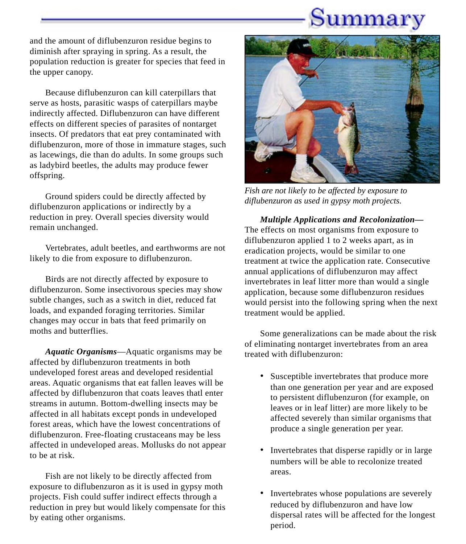## Summary

and the amount of diflubenzuron residue begins to diminish after spraying in spring. As a result, the population reduction is greater for species that feed in the upper canopy.

Because diflubenzuron can kill caterpillars that serve as hosts, parasitic wasps of caterpillars maybe indirectly affected. Diflubenzuron can have different effects on different species of parasites of nontarget insects. Of predators that eat prey contaminated with diflubenzuron, more of those in immature stages, such as lacewings, die than do adults. In some groups such as ladybird beetles, the adults may produce fewer offspring.

Ground spiders could be directly affected by diflubenzuron applications or indirectly by a reduction in prey. Overall species diversity would remain unchanged.

Vertebrates, adult beetles, and earthworms are not likely to die from exposure to diflubenzuron.

Birds are not directly affected by exposure to diflubenzuron. Some insectivorous species may show subtle changes, such as a switch in diet, reduced fat loads, and expanded foraging territories. Similar changes may occur in bats that feed primarily on moths and butterflies.

*Aquatic Organisms*—Aquatic organisms may be affected by diflubenzuron treatments in both undeveloped forest areas and developed residential areas. Aquatic organisms that eat fallen leaves will be affected by diflubenzuron that coats leaves thatl enter streams in autumn. Bottom-dwelling insects may be affected in all habitats except ponds in undeveloped forest areas, which have the lowest concentrations of diflubenzuron. Free-floating crustaceans may be less affected in undeveloped areas. Mollusks do not appear to be at risk.

Fish are not likely to be directly affected from exposure to diflubenzuron as it is used in gypsy moth projects. Fish could suffer indirect effects through a reduction in prey but would likely compensate for this by eating other organisms.



*Fish are not likely to be affected by exposure to diflubenzuron as used in gypsy moth projects.*

*Multiple Applications and Recolonization—* The effects on most organisms from exposure to diflubenzuron applied 1 to 2 weeks apart, as in eradication projects, would be similar to one treatment at twice the application rate. Consecutive annual applications of diflubenzuron may affect invertebrates in leaf litter more than would a single application, because some diflubenzuron residues would persist into the following spring when the next treatment would be applied.

Some generalizations can be made about the risk of eliminating nontarget invertebrates from an area treated with diflubenzuron:

- Susceptible invertebrates that produce more than one generation per year and are exposed to persistent diflubenzuron (for example, on leaves or in leaf litter) are more likely to be affected severely than similar organisms that produce a single generation per year.
- Invertebrates that disperse rapidly or in large numbers will be able to recolonize treated areas.
- Invertebrates whose populations are severely reduced by diflubenzuron and have low dispersal rates will be affected for the longest period.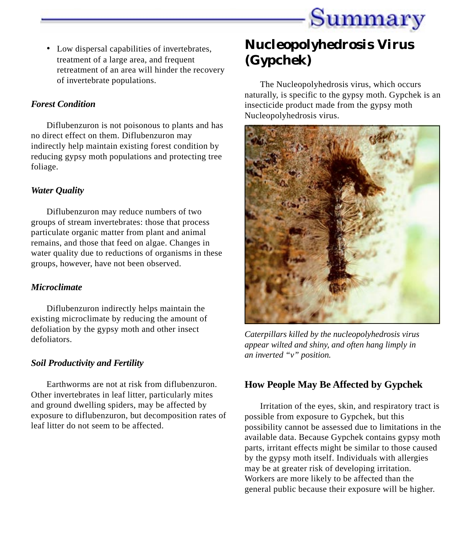

• Low dispersal capabilities of invertebrates, treatment of a large area, and frequent retreatment of an area will hinder the recovery of invertebrate populations.

#### *Forest Condition*

Diflubenzuron is not poisonous to plants and has no direct effect on them. Diflubenzuron may indirectly help maintain existing forest condition by reducing gypsy moth populations and protecting tree foliage.

#### *Water Quality*

Diflubenzuron may reduce numbers of two groups of stream invertebrates: those that process particulate organic matter from plant and animal remains, and those that feed on algae. Changes in water quality due to reductions of organisms in these groups, however, have not been observed.

#### *Microclimate*

Diflubenzuron indirectly helps maintain the existing microclimate by reducing the amount of defoliation by the gypsy moth and other insect defoliators.

#### *Soil Productivity and Fertility*

Earthworms are not at risk from diflubenzuron. Other invertebrates in leaf litter, particularly mites and ground dwelling spiders, may be affected by exposure to diflubenzuron, but decomposition rates of leaf litter do not seem to be affected.

### *Nucleopolyhedrosis Virus (Gypchek)*

The Nucleopolyhedrosis virus, which occurs naturally, is specific to the gypsy moth. Gypchek is an insecticide product made from the gypsy moth Nucleopolyhedrosis virus.



*Caterpillars killed by the nucleopolyhedrosis virus appear wilted and shiny, and often hang limply in an inverted "v" position.*

### **How People May Be Affected by Gypchek**

Irritation of the eyes, skin, and respiratory tract is possible from exposure to Gypchek, but this possibility cannot be assessed due to limitations in the available data. Because Gypchek contains gypsy moth parts, irritant effects might be similar to those caused by the gypsy moth itself. Individuals with allergies may be at greater risk of developing irritation. Workers are more likely to be affected than the general public because their exposure will be higher.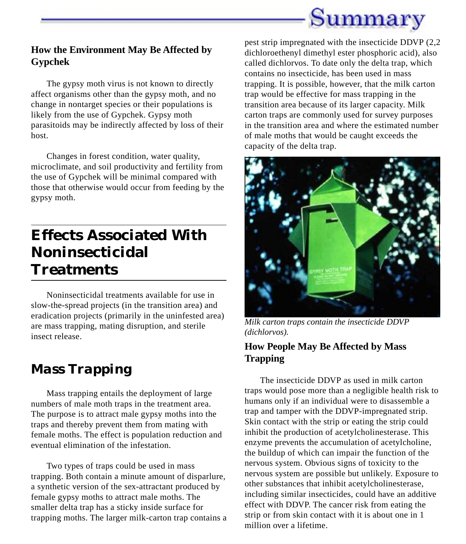

#### **How the Environment May Be Affected by Gypchek**

The gypsy moth virus is not known to directly affect organisms other than the gypsy moth, and no change in nontarget species or their populations is likely from the use of Gypchek. Gypsy moth parasitoids may be indirectly affected by loss of their host.

Changes in forest condition, water quality, microclimate, and soil productivity and fertility from the use of Gypchek will be minimal compared with those that otherwise would occur from feeding by the gypsy moth.

### **Effects Associated With Noninsecticidal Treatments**

Noninsecticidal treatments available for use in slow-the-spread projects (in the transition area) and eradication projects (primarily in the uninfested area) are mass trapping, mating disruption, and sterile insect release.

### *Mass Trapping*

Mass trapping entails the deployment of large numbers of male moth traps in the treatment area. The purpose is to attract male gypsy moths into the traps and thereby prevent them from mating with female moths. The effect is population reduction and eventual elimination of the infestation.

Two types of traps could be used in mass trapping. Both contain a minute amount of disparlure, a synthetic version of the sex-attractant produced by female gypsy moths to attract male moths. The smaller delta trap has a sticky inside surface for trapping moths. The larger milk-carton trap contains a pest strip impregnated with the insecticide DDVP (2,2 dichloroethenyl dimethyl ester phosphoric acid), also called dichlorvos. To date only the delta trap, which contains no insecticide, has been used in mass trapping. It is possible, however, that the milk carton trap would be effective for mass trapping in the transition area because of its larger capacity. Milk carton traps are commonly used for survey purposes in the transition area and where the estimated number of male moths that would be caught exceeds the capacity of the delta trap.



*Milk carton traps contain the insecticide DDVP (dichlorvos).*

### **How People May Be Affected by Mass Trapping**

The insecticide DDVP as used in milk carton traps would pose more than a negligible health risk to humans only if an individual were to disassemble a trap and tamper with the DDVP-impregnated strip. Skin contact with the strip or eating the strip could inhibit the production of acetylcholinesterase. This enzyme prevents the accumulation of acetylcholine, the buildup of which can impair the function of the nervous system. Obvious signs of toxicity to the nervous system are possible but unlikely. Exposure to other substances that inhibit acetylcholinesterase, including similar insecticides, could have an additive effect with DDVP. The cancer risk from eating the strip or from skin contact with it is about one in 1 million over a lifetime.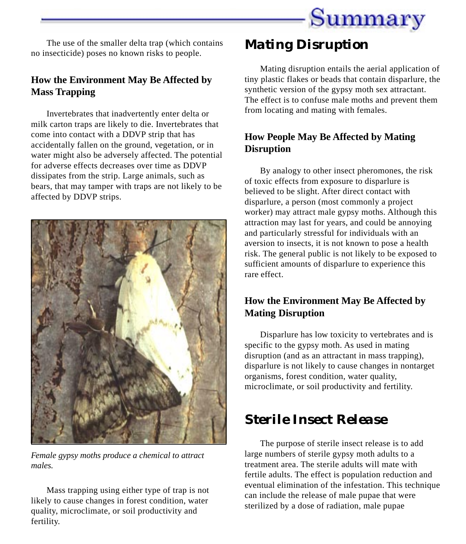

The use of the smaller delta trap (which contains no insecticide) poses no known risks to people.

### **How the Environment May Be Affected by Mass Trapping**

Invertebrates that inadvertently enter delta or milk carton traps are likely to die. Invertebrates that come into contact with a DDVP strip that has accidentally fallen on the ground, vegetation, or in water might also be adversely affected. The potential for adverse effects decreases over time as DDVP dissipates from the strip. Large animals, such as bears, that may tamper with traps are not likely to be affected by DDVP strips.



*Female gypsy moths produce a chemical to attract males.*

Mass trapping using either type of trap is not likely to cause changes in forest condition, water quality, microclimate, or soil productivity and fertility.

### *Mating Disruption*

Mating disruption entails the aerial application of tiny plastic flakes or beads that contain disparlure, the synthetic version of the gypsy moth sex attractant. The effect is to confuse male moths and prevent them from locating and mating with females.

### **How People May Be Affected by Mating Disruption**

By analogy to other insect pheromones, the risk of toxic effects from exposure to disparlure is believed to be slight. After direct contact with disparlure, a person (most commonly a project worker) may attract male gypsy moths. Although this attraction may last for years, and could be annoying and particularly stressful for individuals with an aversion to insects, it is not known to pose a health risk. The general public is not likely to be exposed to sufficient amounts of disparlure to experience this rare effect.

### **How the Environment May Be Affected by Mating Disruption**

Disparlure has low toxicity to vertebrates and is specific to the gypsy moth. As used in mating disruption (and as an attractant in mass trapping), disparlure is not likely to cause changes in nontarget organisms, forest condition, water quality, microclimate, or soil productivity and fertility.

### *Sterile Insect Release*

The purpose of sterile insect release is to add large numbers of sterile gypsy moth adults to a treatment area. The sterile adults will mate with fertile adults. The effect is population reduction and eventual elimination of the infestation. This technique can include the release of male pupae that were sterilized by a dose of radiation, male pupae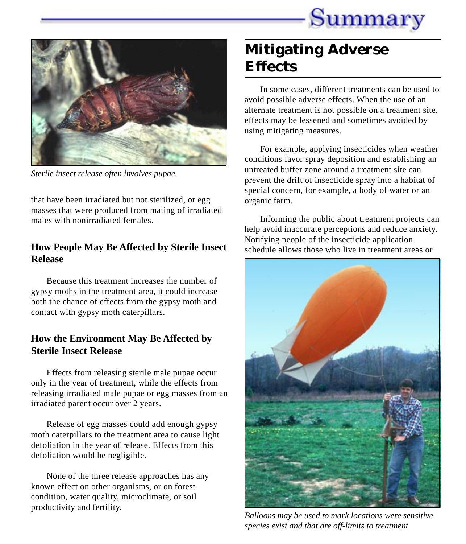



*Sterile insect release often involves pupae.*

that have been irradiated but not sterilized, or egg masses that were produced from mating of irradiated males with nonirradiated females.

#### **How People May Be Affected by Sterile Insect Release**

Because this treatment increases the number of gypsy moths in the treatment area, it could increase both the chance of effects from the gypsy moth and contact with gypsy moth caterpillars.

#### **How the Environment May Be Affected by Sterile Insect Release**

Effects from releasing sterile male pupae occur only in the year of treatment, while the effects from releasing irradiated male pupae or egg masses from an irradiated parent occur over 2 years.

Release of egg masses could add enough gypsy moth caterpillars to the treatment area to cause light defoliation in the year of release. Effects from this defoliation would be negligible.

None of the three release approaches has any known effect on other organisms, or on forest condition, water quality, microclimate, or soil productivity and fertility.

### **Mitigating Adverse Effects**

In some cases, different treatments can be used to avoid possible adverse effects. When the use of an alternate treatment is not possible on a treatment site, effects may be lessened and sometimes avoided by using mitigating measures.

For example, applying insecticides when weather conditions favor spray deposition and establishing an untreated buffer zone around a treatment site can prevent the drift of insecticide spray into a habitat of special concern, for example, a body of water or an organic farm.

Informing the public about treatment projects can help avoid inaccurate perceptions and reduce anxiety. Notifying people of the insecticide application schedule allows those who live in treatment areas or



*Balloons may be used to mark locations were sensitive species exist and that are off-limits to treatment*